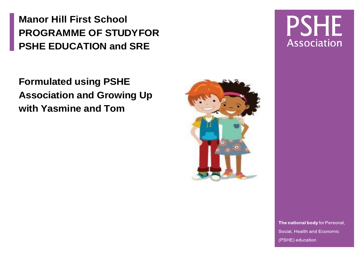**Manor Hill First School PROGRAMME OF STUDYFOR PSHE EDUCATION and SRE** 

**Formulated using PSHE Association and Growing Up with Yasmine and Tom** 



## **PSHE** Association

The national body for Personal, Social, Health and Economic (PSHE) education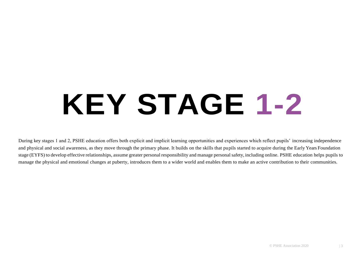# **KEY STAGE 1-2**

During key stages 1 and 2, PSHE education offers both explicit and implicit learning opportunities and experiences which reflect pupils' increasing independence and physical and social awareness, as they move through the primary phase. It builds on the skills that pupils started to acquire during the Early Years Foundation stage (EYFS) to develop effective relationships, assume greater personal responsibility and manage personal safety, including online. PSHE education helps pupils to manage the physical and emotional changes at puberty, introduces them to a wider world and enables them to make an active contribution to their communities.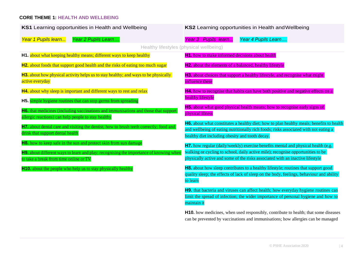#### **CORE THEME 1: HEALTH AND WELLBEING**

| KS1 Learning opportunities in Health and Wellbeing                                                                                         | KS2 Learning opportunities in Health and Wellbeing                                                                                                                                      |
|--------------------------------------------------------------------------------------------------------------------------------------------|-----------------------------------------------------------------------------------------------------------------------------------------------------------------------------------------|
| Year 2 Pupils Learn<br>Year 1 Pupils learn                                                                                                 | Year 3 Pupils learn<br>Year 4 Pupils Learn                                                                                                                                              |
| Healthy lifestyles (physical wellbeing)                                                                                                    |                                                                                                                                                                                         |
| H1. about what keeping healthy means; different ways to keep healthy                                                                       | H1. how to make informed decisions about health                                                                                                                                         |
| H2. about foods that support good health and the risks of eating too much sugar                                                            | H2. about the elements of a balanced, healthy lifestyle                                                                                                                                 |
| <b>H3.</b> about how physical activity helps us to stay healthy; and ways to be physically<br>active everyday                              | <b>H3.</b> about choices that support a healthy lifestyle, and recognise what might<br>influence these                                                                                  |
| H4. about why sleep is important and different ways to rest and relax                                                                      | H4. how to recognise that habits can have both positive and negative effects on a                                                                                                       |
| H5. simple hygiene routines that can stop germs from spreading                                                                             | healthy lifestyle                                                                                                                                                                       |
| H6. that medicines (including vaccinations and immunisations and those that support<br>allergic reactions) can help people to stay healthy | <b>H5.</b> about what good physical health means; how to recognise early signs of<br>physical illness                                                                                   |
| H7. about dental care and visiting the dentist; how to brush teeth correctly; food and<br>drink that support dental health                 | <b>H6.</b> about what constitutes a healthy diet; how to plan healthy meals; benefits to health<br>and wellbeing of eating nutritionally rich foods; risks associated with not eating a |
|                                                                                                                                            | healthy diet including obesity and tooth decay.                                                                                                                                         |
| H8. how to keep safe in the sun and protect skin from sun damage                                                                           | H7. how regular (daily/weekly) exercise benefits mental and physical health (e.g.                                                                                                       |
| H9. about different ways to learn and play; recognising the importance of knowing when                                                     | walking or cycling to school, daily active mile); recognise opportunities to be                                                                                                         |
| to take a break from time online or TV                                                                                                     | physically active and some of the risks associated with an inactive lifestyle                                                                                                           |
| <b>H10.</b> about the people who help us to stay physically healthy                                                                        | <b>H8.</b> about how sleep contributes to a healthy lifestyle; routines that support good                                                                                               |
|                                                                                                                                            | quality sleep; the effects of lack of sleep on the body, feelings, behaviour and ability<br>to learn                                                                                    |
|                                                                                                                                            | H9. that bacteria and viruses can affect health; how everyday hygiene routines can                                                                                                      |
|                                                                                                                                            | limit the spread of infection; the wider importance of personal hygiene and how to<br>maintain it                                                                                       |
|                                                                                                                                            | H10. how medicines, when used responsibly, contribute to health; that some diseases<br>can be prevented by vaccinations and immunisations; how allergies can be managed                 |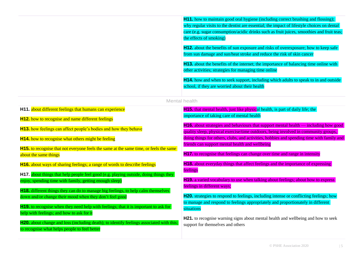|                                                                                                                                              | H11. how to maintain good oral hygiene (including correct brushing and flossing);<br>why regular visits to the dentist are essential; the impact of lifestyle choices on dental<br>care (e.g. sugar consumption/acidic drinks such as fruit juices, smoothies and fruit teas;<br>the effects of smoking) |
|----------------------------------------------------------------------------------------------------------------------------------------------|----------------------------------------------------------------------------------------------------------------------------------------------------------------------------------------------------------------------------------------------------------------------------------------------------------|
|                                                                                                                                              | <b>H12.</b> about the benefits of sun exposure and risks of overexposure; how to keep safe<br>from sun damage and sun/heat stroke and reduce the risk of skin cancer                                                                                                                                     |
|                                                                                                                                              | H13. about the benefits of the internet; the importance of balancing time online with<br>other activities; strategies for managing time online                                                                                                                                                           |
|                                                                                                                                              | H14. how and when to seek support, including which adults to speak to in and outside<br>school, if they are worried about their health                                                                                                                                                                   |
|                                                                                                                                              | Mental health                                                                                                                                                                                                                                                                                            |
| H11. about different feelings that humans can experience<br><b>H12.</b> how to recognise and name different feelings                         | <b>H15.</b> that mental health, just like physical health, is part of daily life; the<br>importance of taking care of mental health                                                                                                                                                                      |
| H13. how feelings can affect people's bodies and how they behave                                                                             | <b>H16.</b> about strategies and behaviours that support mental health $\equiv$ including how good<br>quality sleep, physical exercise/time outdoors, being involved in community groups,                                                                                                                |
| <b>H14.</b> how to recognise what others might be feeling                                                                                    | doing things for others, clubs, and activities, hobbies and spending time with family and<br>friends can support mental health and wellbeing                                                                                                                                                             |
| H15. to recognise that not everyone feels the same at the same time, or feels the same<br>about the same things                              | <b>H17.</b> to recognise that feelings can change over time and range in intensity                                                                                                                                                                                                                       |
| H16. about ways of sharing feelings; a range of words to describe feelings                                                                   | <b>H18.</b> about everyday things that affect feelings and the importance of expressing                                                                                                                                                                                                                  |
| H17. about things that help people feel good (e.g. playing outside, doing things they                                                        | feelings                                                                                                                                                                                                                                                                                                 |
| enjoy, spending time with family, getting enough sleep)                                                                                      | H19. a varied vocabulary to use when talking about feelings; about how to express<br>feelings in different ways;                                                                                                                                                                                         |
| H18. different things they can do to manage big feelings, to help calm themselves<br>down and/or change their mood when they don't feel good | H20. strategies to respond to feelings, including intense or conflicting feelings; how                                                                                                                                                                                                                   |
| <b>H19.</b> to recognise when they need help with feelings; that it is important to ask for                                                  | to manage and respond to feelings appropriately and proportionately in different<br>situations                                                                                                                                                                                                           |

help with feelings; and how to ask for it

to recognise what helps people to feel better

H20. about change and loss (including death); to identify feelings associated with this;

**H21.** to recognise warning signs about mental health and wellbeing and how to seek support for themselves and others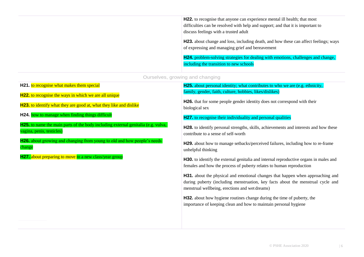**H22.** to recognise that anyone can experience mental ill health; that most difficulties can be resolved with help and support; and that it is important to discuss feelings with a trusted adult

**H23.** about change and loss, including death, and how these can affect feelings; ways of expressing and managing grief and bereavement

**H24.** problem-solving strategies for dealing with emotions, challenges and change, including the transition to new schools

Ourselves, growing and changing

**H21.** to recognise what makes them special

**H22.** to recognise the ways in which we are all unique

**H23.** to identify what they are good at, what they like and dislike

**H24.** how to manage when finding things difficult

**H25.** to name the main parts of the body including external genitalia (e.g. vulva, vagina, penis, testicles)

**H26.** about growing and changing from young to old and how people's needs change

**H27.** about preparing to move to a new class/year group

**H25.** about personal identity; what contributes to who we are (e.g. ethnicity, family, gender, faith, culture, hobbies, likes/dislikes)

**H26.** that for some people gender identity does not correspond with their biological sex

**H27.** to recognise their individuality and personal qualities

**H28.** to identify personal strengths, skills, achievements and interests and how these contribute to a sense of self-worth

**H29.** about how to manage setbacks/perceived failures, including how to re-frame unhelpful thinking

**H30.** to identify the external genitalia and internal reproductive organs in males and females and how the process of puberty relates to human reproduction

**H31.** about the physical and emotional changes that happen when approaching and during puberty (including menstruation, key facts about the menstrual cycle and menstrual wellbeing, erections and wet dreams)

**H32.** about how hygiene routines change during the time of puberty, the importance of keeping clean and how to maintain personal hygiene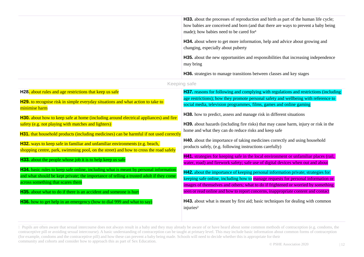| <b>H33.</b> about the processes of reproduction and birth as part of the human life cycle;<br>how babies are conceived and born (and that there are ways to prevent a baby being<br>made); how babies need to be cared for <sup>1</sup> |
|-----------------------------------------------------------------------------------------------------------------------------------------------------------------------------------------------------------------------------------------|
| <b>H34.</b> about where to get more information, help and advice about growing and<br>changing, especially about puberty                                                                                                                |
| <b>H35.</b> about the new opportunities and responsibilities that increasing independence<br>may bring                                                                                                                                  |
| <b>H36.</b> strategies to manage transitions between classes and key stages                                                                                                                                                             |

|  |  |  | Keeping safe |  |
|--|--|--|--------------|--|
|  |  |  |              |  |
|  |  |  |              |  |

| H28. about rules and age restrictions that keep us safe                                                                                                                                                                                                         | <b>H37.</b> reasons for following and complying with regulations and restrictions (including                                                                                                                                                                |
|-----------------------------------------------------------------------------------------------------------------------------------------------------------------------------------------------------------------------------------------------------------------|-------------------------------------------------------------------------------------------------------------------------------------------------------------------------------------------------------------------------------------------------------------|
| H29. to recognise risk in simple everyday situations and what action to take to<br>minimise harm                                                                                                                                                                | age restrictions); how they promote personal safety and wellbeing with reference to<br>social media, television programmes, films, games and online gaming                                                                                                  |
| H30. about how to keep safe at home (including around electrical appliances) and fire                                                                                                                                                                           | <b>H38.</b> how to predict, assess and manage risk in different situations                                                                                                                                                                                  |
| safety (e.g. not playing with matches and lighters)                                                                                                                                                                                                             | <b>H39.</b> about hazards (including fire risks) that may cause harm, injury or risk in the<br>home and what they can do reduce risks and keep safe                                                                                                         |
| H31. that household products (including medicines) can be harmful if not used correctly<br>H32. ways to keep safe in familiar and unfamiliar environments (e.g. beach,<br>shopping centre, park, swimming pool, on the street) and how to cross the road safely | <b>H40.</b> about the importance of taking medicines correctly and using household<br>products safely, (e.g. following instructions carefully)                                                                                                              |
| <b>H33.</b> about the people whose job it is to help keep us safe                                                                                                                                                                                               | H41. strategies for keeping safe in the local environment or unfamiliar places (rail,<br>water, road) and firework safety; safe use of digital devices when out and about                                                                                   |
| <b>H34.</b> basic rules to keep safe online, including what is meant by personal information<br>and what should be kept private; the importance of telling a trusted adult if they come<br>across something that scares them                                    | H42. about the importance of keeping personal information private; strategies for<br>keeping safe online, including how to manage requests for personal information or<br>images of themselves and others; what to do if frightened or worried by something |
| H35. about what to do if there is an accident and someone is hurt                                                                                                                                                                                               | seen or read online and how to report concerns, inappropriate content and contact                                                                                                                                                                           |
| H36. how to get help in an emergency (how to dial 999 and what to say)                                                                                                                                                                                          | <b>H43.</b> about what is meant by first aid; basic techniques for dealing with common<br>injuries <sup>2</sup>                                                                                                                                             |

<sup>1</sup> Pupils are often aware that sexual intercourse does not always result in a baby and they may already be aware of or have heard about some common methods of contraception (e.g. condoms, the contraceptive pill or avoiding sexual intercourse). A basic understanding of contraception can be taught at primary level. This may include basic information about common forms of contraception (for example, condoms and the contraceptive pill) and how these can prevent a baby being made. Schools will need to decide whether this is appropriate for their community and cohorts and consider how to approach this as part of Sex Education.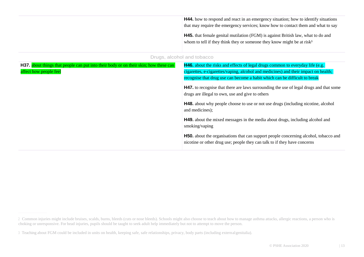| <b>H44.</b> how to respond and react in an emergency situation; how to identify situations<br>that may require the emergency services; know how to contact them and what to say<br><b>H45.</b> that female genital mutilation (FGM) is against British law, what to do and<br>whom to tell if they think they or someone they know might be at risk <sup>3</sup> |
|------------------------------------------------------------------------------------------------------------------------------------------------------------------------------------------------------------------------------------------------------------------------------------------------------------------------------------------------------------------|
| Drugs, alcohol and tobacco                                                                                                                                                                                                                                                                                                                                       |

| <b>H37.</b> about things that people can put into their body or on their skin; how these can | <b>H46.</b> about the risks and effects of legal drugs common to everyday life (e.g.                                                                                                                                                                             |
|----------------------------------------------------------------------------------------------|------------------------------------------------------------------------------------------------------------------------------------------------------------------------------------------------------------------------------------------------------------------|
| affect how people feel                                                                       | cigarettes, e-cigarettes/vaping, alcohol and medicines) and their impact on health;                                                                                                                                                                              |
|                                                                                              | recognise that drug use can become a habit which can be difficult to break                                                                                                                                                                                       |
|                                                                                              | <b>H47.</b> to recognise that there are laws surrounding the use of legal drugs and that some<br>drugs are illegal to own, use and give to others<br><b>H48.</b> about why people choose to use or not use drugs (including nicotine, alcohol<br>and medicines); |
|                                                                                              | <b>H49.</b> about the mixed messages in the media about drugs, including alcohol and<br>smoking/vaping                                                                                                                                                           |
|                                                                                              | <b>H50.</b> about the organisations that can support people concerning alcohol, tobacco and<br>nicotine or other drug use; people they can talk to if they have concerns                                                                                         |

<sup>2</sup> Common injuries might include bruises, scalds, burns, bleeds (cuts or nose bleeds). Schools might also choose to teach about how to manage asthma attacks, allergic reactions, a person who is choking or unresponsive. For head injuries, pupils should be taught to seek adult help immediately but not to attempt to move the person.

<sup>3</sup> Teaching about FGM could be included in units on health, keeping safe, safe relationships, privacy, body parts (including externalgenitalia).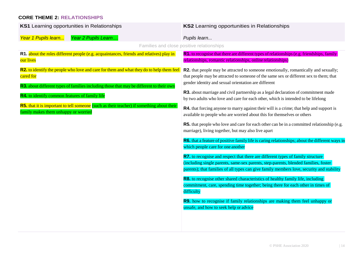#### **CORE THEME 2: RELATIONSHIPS**

| KS1 Learning opportunities in Relationships                                                                                                                                                       | KS2 Learning opportunities in Relationships                                                                                                                                                                                                                         |
|---------------------------------------------------------------------------------------------------------------------------------------------------------------------------------------------------|---------------------------------------------------------------------------------------------------------------------------------------------------------------------------------------------------------------------------------------------------------------------|
| Year 2 Pupils Learn<br>Year 1 Pupils learn                                                                                                                                                        | Pupils learn                                                                                                                                                                                                                                                        |
|                                                                                                                                                                                                   | Families and close positive relationships                                                                                                                                                                                                                           |
| R1. about the roles different people (e.g. acquaintances, friends and relatives) play in<br>our lives                                                                                             | R1. to recognise that there are different types of relationships (e.g. friendships, family<br>relationships, romantic relationships, online relationships)                                                                                                          |
| R2. to identify the people who love and care for them and what they do to help them feel<br>cared for<br>R3. about different types of families including those that may be different to their own | R2. that people may be attracted to someone emotionally, romantically and sexually;<br>that people may be attracted to someone of the same sex or different sex to them; that<br>gender identity and sexual orientation are different                               |
| R4. to identify common features of family life                                                                                                                                                    | R3. about marriage and civil partnership as a legal declaration of commitment made<br>by two adults who love and care for each other, which is intended to be lifelong                                                                                              |
| R5. that it is important to tell someone (such as their teacher) if something about their<br>family makes them unhappy or worried                                                                 | R4. that forcing anyone to marry against their will is a crime; that help and support is<br>available to people who are worried about this for themselves or others                                                                                                 |
|                                                                                                                                                                                                   | <b>R5.</b> that people who love and care for each other can be in a committed relationship (e.g.<br>marriage), living together, but may also live apart                                                                                                             |
|                                                                                                                                                                                                   | R6. that a feature of positive family life is caring relationships; about the different ways in<br>which people care for one another                                                                                                                                |
|                                                                                                                                                                                                   | R7. to recognise and respect that there are different types of family structure<br>(including single parents, same-sex parents, step-parents, blended families, foster<br>parents); that families of all types can give family members love, security and stability |
|                                                                                                                                                                                                   | <b>R8.</b> to recognise other shared characteristics of healthy family life, including<br>commitment, care, spending time together; being there for each other in times of<br>difficulty                                                                            |
|                                                                                                                                                                                                   | R9. how to recognise if family relationships are making them feel unhappy or<br>unsafe, and how to seek help or advice                                                                                                                                              |
|                                                                                                                                                                                                   |                                                                                                                                                                                                                                                                     |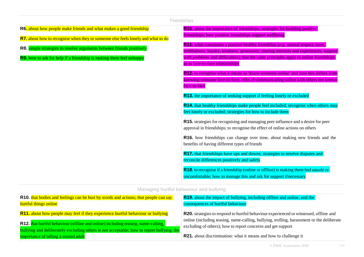|                                                                                                                                                                                                                                         | Friendships                                                                                                                                                                                                                                                                                              |
|-----------------------------------------------------------------------------------------------------------------------------------------------------------------------------------------------------------------------------------------|----------------------------------------------------------------------------------------------------------------------------------------------------------------------------------------------------------------------------------------------------------------------------------------------------------|
| R6. about how people make friends and what makes a good friendship                                                                                                                                                                      | <b>R10.</b> about the importance of friendships; strategies for building positive<br>friendships; how positive friendships support wellbeing                                                                                                                                                             |
| R7. about how to recognise when they or someone else feels lonely and what to do<br>R8. simple strategies to resolve arguments between friends positively<br><b>R9.</b> how to ask for help if a friendship is making them feel unhappy | R11. what constitutes a positive healthy friendship (e.g. mutual respect, trust,<br>truthfulness, loyalty, kindness, generosity, sharing interests and experiences, support<br>with problems and difficulties); that the same principles apply to online friendships<br>as to face-to-face relationships |
|                                                                                                                                                                                                                                         | <b>R12.</b> to recognise what it means to 'know someone online' and how this differs from<br>knowing someone face-to-face; risks of communicating online with others not known<br>face-to-face<br>R13. the importance of seeking support if feeling lonely or excluded                                   |
|                                                                                                                                                                                                                                         | R14. that healthy friendships make people feel included; recognise when others may<br>feel lonely or excluded; strategies for how to include them<br>R15. strategies for recognising and managing peer influence and a desire for peer                                                                   |
|                                                                                                                                                                                                                                         | approval in friendships; to recognise the effect of online actions on others<br>R16. how friendships can change over time, about making new friends and the<br>benefits of having different types of friends                                                                                             |
|                                                                                                                                                                                                                                         | R17. that friendships have ups and downs; strategies to resolve disputes and<br>reconcile differences positively and safely                                                                                                                                                                              |
|                                                                                                                                                                                                                                         | <b>R18.</b> to recognise if a friendship (online or offline) is making them feel unsafe or<br>uncomfortable; how to manage this and ask for support ifnecessary                                                                                                                                          |

#### Managing hurtful behaviour and bullying

| <b>R10.</b> that bodies and feelings can be hurt by words and actions; that people can say<br><b>hurtful things online</b>                                                            | <b>R19.</b> about the impact of bullying, including offline and online, and the<br>consequences of hurtful behaviour                                                                      |
|---------------------------------------------------------------------------------------------------------------------------------------------------------------------------------------|-------------------------------------------------------------------------------------------------------------------------------------------------------------------------------------------|
| <b>R11.</b> about how people may feel if they experience hurtful behaviour or bullying                                                                                                | <b>R20.</b> strategies to respond to hurtful behaviour experienced or witnessed, offline and<br>online (including teasing, name-calling, bullying, trolling, harassment or the deliberate |
| <b>R12.</b> that hurtful behaviour (offline and online) including teasing, name-calling,<br>bullying and deliberately excluding others is not acceptable; how to report bullying; the | excluding of others); how to report concerns and get support                                                                                                                              |
| importance of telling a trusted adult                                                                                                                                                 | <b>R21.</b> about discrimination: what it means and how to challenge it                                                                                                                   |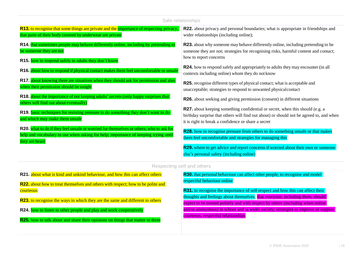| Safe relationships                                                                                                                                                                               |                                                                                                                                                                                                                                                                                                |  |
|--------------------------------------------------------------------------------------------------------------------------------------------------------------------------------------------------|------------------------------------------------------------------------------------------------------------------------------------------------------------------------------------------------------------------------------------------------------------------------------------------------|--|
| <b>R13.</b> to recognise that some things are private and the importance of respecting privacy;<br>that parts of their body covered by underwear are private                                     | <b>R22.</b> about privacy and personal boundaries; what is appropriate in friendships and<br>wider relationships (including online);                                                                                                                                                           |  |
| R14. that sometimes people may behave differently online, including by pretending to<br>be someone they are not<br>R15. how to respond safely to adults they don't know                          | R23. about why someone may behave differently online, including pretending to be<br>someone they are not; strategies for recognising risks, harmful content and contact;<br>how to report concerns<br><b>R24.</b> how to respond safely and appropriately to adults they may encounter (in all |  |
| R16. about how to respond if physical contact makes them feel uncomfortable or unsafe<br>R17. about knowing there are situations when they should ask for permission and also                    | contexts including online) whom they do not know<br><b>R25.</b> recognise different types of physical contact; what is acceptable and                                                                                                                                                          |  |
| when their permission should be sought<br>R18. about the importance of not keeping adults' secrets (only happy surprises that                                                                    | unacceptable; strategies to respond to unwanted physical contact<br>R26. about seeking and giving permission (consent) in different situations                                                                                                                                                 |  |
| others will find out about eventually)<br>R19. <b>basic techniques for resisting pressure to do something they don't want to do</b><br>and which may make them unsafe                            | R27. about keeping something confidential or secret, when this should (e.g. a<br>birthday surprise that others will find out about) or should not be agreed to, and when<br>it is right to break a confidence or share a secret                                                                |  |
| R20. what to do if they feel unsafe or worried for themselves or others; who to ask for<br>help and vocabulary to use when asking for help; importance of keeping trying until<br>they are heard | R28. how to recognise pressure from others to do something unsafe or that makes<br>them feel uncomfortable and strategies for managing this                                                                                                                                                    |  |
|                                                                                                                                                                                                  | R29. where to get advice and report concerns if worried about their own or someone<br>else's personal safety (including online)                                                                                                                                                                |  |
|                                                                                                                                                                                                  | Respecting self and others                                                                                                                                                                                                                                                                     |  |
| R21. about what is kind and unkind behaviour, and how this can affect others                                                                                                                     | <b>R30.</b> that personal behaviour can affect other people; to recognise and model<br>$(0.11.1 + 0.01)$                                                                                                                                                                                       |  |

**R22.** about how to treat themselves and others with respect; how to be polite and courteous

**R23.** to recognise the ways in which they are the same and different to others

**R24.** how to listen to other people and play and work cooperatively

**R25.** how to talk about and share their opinions on things that matter to them

### respectful behaviour online

**R31.** to recognise the importance of self-respect and how this can affect their thoughts and feelings about themselves; that everyone, including them, should expect to be treated politely and with respect by others (including when online and/or anonymous) in school and in wider society; strategies to improve or support courteous, respectful relationships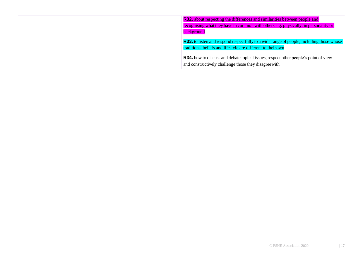**R32.** about respecting the differences and similarities between people and recognising what they have in common with others e.g. physically, in personality or **background R33.** to listen and respond respectfully to a wide range of people, including those whose traditions, beliefs and lifestyle are different to theirown **R34.** how to discuss and debate topical issues, respect other people's point of view

and constructively challenge those they disagreewith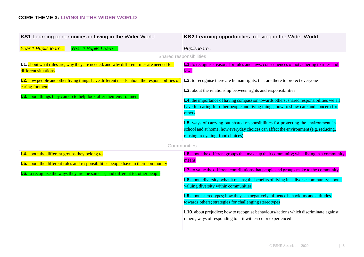#### **CORE THEME 3: LIVING IN THE WIDER WORLD**

| KS1 Learning opportunities in Living in the Wider World                                                                                                                                                                            | KS2 Learning opportunities in Living in the Wider World                                                                                                                                                                                                                                                                                                                                                                                                                                                                                                                                                                                            |
|------------------------------------------------------------------------------------------------------------------------------------------------------------------------------------------------------------------------------------|----------------------------------------------------------------------------------------------------------------------------------------------------------------------------------------------------------------------------------------------------------------------------------------------------------------------------------------------------------------------------------------------------------------------------------------------------------------------------------------------------------------------------------------------------------------------------------------------------------------------------------------------------|
| Year 2 Pupils Learn<br>Year 1 Pupils learn                                                                                                                                                                                         | Pupils learn                                                                                                                                                                                                                                                                                                                                                                                                                                                                                                                                                                                                                                       |
|                                                                                                                                                                                                                                    | Shared responsibilities                                                                                                                                                                                                                                                                                                                                                                                                                                                                                                                                                                                                                            |
| L1. about what rules are, why they are needed, and why different rules are needed for<br>different situations                                                                                                                      | <b>L1.</b> to recognise reasons for rules and laws; consequences of not adhering to rules and<br>laws                                                                                                                                                                                                                                                                                                                                                                                                                                                                                                                                              |
| L2. how people and other living things have different needs; about the responsibilities of<br>caring for them<br>L3. about things they can do to help look after their environment                                                 | L2. to recognise there are human rights, that are there to protect everyone<br><b>L3.</b> about the relationship between rights and responsibilities<br>L4. the importance of having compassion towards others; shared responsibilities we all<br>have for caring for other people and living things; how to show care and concern for<br>others<br>L5. ways of carrying out shared responsibilities for protecting the environment in<br>school and at home; how everyday choices can affect the environment (e.g. reducing,<br>reusing, recycling; food choices)                                                                                 |
|                                                                                                                                                                                                                                    | Communities                                                                                                                                                                                                                                                                                                                                                                                                                                                                                                                                                                                                                                        |
| <b>L4.</b> about the different groups they belong to<br><b>L5.</b> about the different roles and responsibilities people have in their community<br>L6. to recognise the ways they are the same as, and different to, other people | L6. about the different groups that make up their community; what living in a community<br>means<br>L7. to value the different contributions that people and groups make to the community<br>L8. about diversity: what it means; the benefits of living in a diverse community; about<br>valuing diversity within communities<br><b>L9.</b> about stereotypes; how they can negatively influence behaviours and attitudes<br>towards others; strategies for challenging stereotypes<br><b>L10.</b> about prejudice; how to recognise behaviours/actions which discriminate against<br>others; ways of responding to it if witnessed or experienced |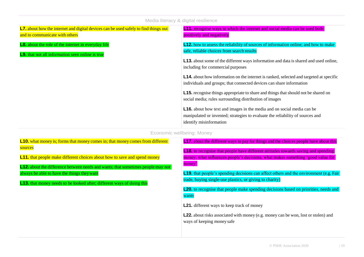| iviedia literacy & digital resilience                                                                                         |                                                                                                                                                                                                                                                                                                                                                                                                                                                                                                                                                                                                                                                                                                                                                                                                               |  |  |  |  |
|-------------------------------------------------------------------------------------------------------------------------------|---------------------------------------------------------------------------------------------------------------------------------------------------------------------------------------------------------------------------------------------------------------------------------------------------------------------------------------------------------------------------------------------------------------------------------------------------------------------------------------------------------------------------------------------------------------------------------------------------------------------------------------------------------------------------------------------------------------------------------------------------------------------------------------------------------------|--|--|--|--|
| <b>L7.</b> about how the internet and digital devices can be used safely to find things out<br>and to communicate with others | <b>L11.</b> recognise ways in which the internet and social media can be used both<br>positively and negatively                                                                                                                                                                                                                                                                                                                                                                                                                                                                                                                                                                                                                                                                                               |  |  |  |  |
| <b>L8.</b> about the role of the internet in everyday life<br><b>L9.</b> that not all information seen online is true         | <b>L12.</b> how to assess the reliability of sources of information online; and how to make<br>safe, reliable choices from search results<br><b>L13.</b> about some of the different ways information and data is shared and used online,<br>including for commercial purposes<br><b>L14.</b> about how information on the internet is ranked, selected and targeted at specific<br>individuals and groups; that connected devices can share information<br><b>L15.</b> recognise things appropriate to share and things that should not be shared on<br>social media; rules surrounding distribution of images<br><b>L16.</b> about how text and images in the media and on social media can be<br>manipulated or invented; strategies to evaluate the reliability of sources and<br>identify misinformation |  |  |  |  |
| Economic wellbeing: Money                                                                                                     |                                                                                                                                                                                                                                                                                                                                                                                                                                                                                                                                                                                                                                                                                                                                                                                                               |  |  |  |  |
| <b>L10.</b> what money is; forms that money comes in; that money comes from different<br>sources                              | <b>L17.</b> about the different ways to pay for things and the choices people have about this<br>1.18 to recognize that people have different attitudes towards saying and spending                                                                                                                                                                                                                                                                                                                                                                                                                                                                                                                                                                                                                           |  |  |  |  |

Media literacy & digital resilience

**L11.** that people make different choices about how to save and spend money

**L12.** about the difference between needs and wants; that sometimes people may not always be able to have the things theywant

**L13.** that money needs to be looked after; different ways of doing this

**L18.** to recognise that people have different attitudes towards saving and spending money; what influences people's decisions; what makes something 'good value for money'

**L19.** that people's spending decisions can affect others and the environment (e.g. Fair trade, buying single-use plastics, or giving to charity)

**L20.** to recognise that people make spending decisions based on priorities, needs and wants

**L21.** different ways to keep track of money

**L22.** about risks associated with money (e.g. money can be won, lost or stolen) and ways of keeping money safe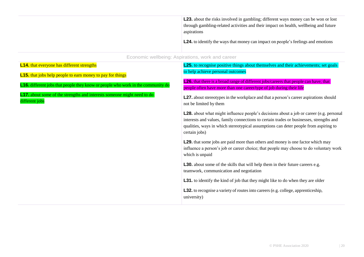**L23.** about the risks involved in gambling; different ways money can be won or lost through gambling-related activities and their impact on health, wellbeing and future aspirations

**L24.** to identify the ways that money can impact on people's feelings and emotions

#### Economic wellbeing: Aspirations, work and career

| <b>L14.</b> that everyone has different strengths                                                | <b>L25.</b> to recognise positive things about themselves and their achievements; set goals                                                                                                                                                                                                        |
|--------------------------------------------------------------------------------------------------|----------------------------------------------------------------------------------------------------------------------------------------------------------------------------------------------------------------------------------------------------------------------------------------------------|
| <b>L15.</b> that jobs help people to earn money to pay for things                                | to help achieve personal outcomes                                                                                                                                                                                                                                                                  |
| <b>L16.</b> different jobs that people they know or people who work in the community do          | <b>L26.</b> that there is a broad range of different jobs/careers that people can have; that<br>people often have more than one career/type of job during their life                                                                                                                               |
| <b>L17.</b> about some of the strengths and interests someone might need to do<br>different jobs | <b>L27.</b> about stereotypes in the workplace and that a person's career aspirations should<br>not be limited by them                                                                                                                                                                             |
|                                                                                                  | <b>L28.</b> about what might influence people's decisions about a job or career (e.g. personal<br>interests and values, family connections to certain trades or businesses, strengths and<br>qualities, ways in which stereotypical assumptions can deter people from aspiring to<br>certain jobs) |
|                                                                                                  | <b>L29.</b> that some jobs are paid more than others and money is one factor which may<br>influence a person's job or career choice; that people may choose to do voluntary work<br>which is unpaid                                                                                                |
|                                                                                                  | <b>L30.</b> about some of the skills that will help them in their future careers e.g.<br>teamwork, communication and negotiation                                                                                                                                                                   |
|                                                                                                  | <b>L31.</b> to identify the kind of job that they might like to do when they are older                                                                                                                                                                                                             |
|                                                                                                  | <b>L32.</b> to recognise a variety of routes into careers (e.g. college, apprenticeship,<br>university)                                                                                                                                                                                            |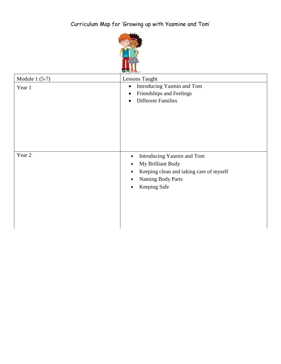

| Module $1(5-7)$<br>Year 1 | Lessons Taught<br>Introducing Yasmin and Tom<br>$\bullet$<br>Friendships and Feelings<br><b>Different Families</b><br>$\bullet$                                                                  |
|---------------------------|--------------------------------------------------------------------------------------------------------------------------------------------------------------------------------------------------|
| Year 2                    | Introducing Yasmin and Tom<br>$\bullet$<br>My Brilliant Body<br>$\bullet$<br>Keeping clean and taking care of myself<br>$\bullet$<br>Naming Body Parts<br>$\bullet$<br>Keeping Safe<br>$\bullet$ |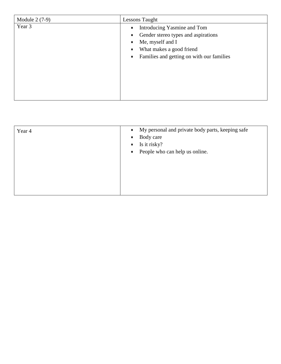| Module 2 (7-9) | Lessons Taught                                                                                                                                                               |
|----------------|------------------------------------------------------------------------------------------------------------------------------------------------------------------------------|
| Year 3         | Introducing Yasmine and Tom<br>Gender stereo types and aspirations<br>Me, myself and I<br>What makes a good friend<br>Families and getting on with our families<br>$\bullet$ |

| Year 4 | My personal and private body parts, keeping safe<br>$\bullet$<br>Body care<br>$\bullet$ |
|--------|-----------------------------------------------------------------------------------------|
|        | Is it risky?<br>$\bullet$                                                               |
|        |                                                                                         |
|        | People who can help us online.<br>$\bullet$                                             |
|        |                                                                                         |
|        |                                                                                         |
|        |                                                                                         |
|        |                                                                                         |
|        |                                                                                         |
|        |                                                                                         |
|        |                                                                                         |
|        |                                                                                         |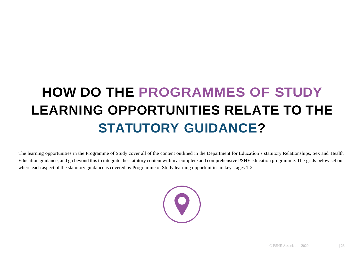## **HOW DO THE PROGRAMMES OF STUDY LEARNING OPPORTUNITIES RELATE TO THE STATUTORY GUIDANCE?**

The learning opportunities in the Programme of Study cover all of the content outlined in the Department for Education's statutory Relationships, Sex and Health Education guidance, and go beyond this to integrate the statutory content within a complete and comprehensive PSHE education programme. The grids below set out where each aspect of the statutory guidance is covered by Programme of Study learning opportunities in key stages 1-2.

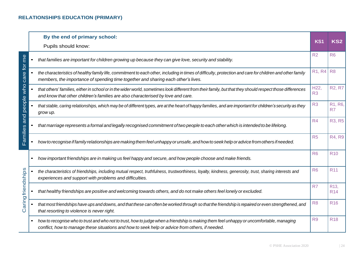|                     |           | By the end of primary school:                                                                                                                                                                                                                  | KS <sub>1</sub>        | <b>KS2</b>                    |
|---------------------|-----------|------------------------------------------------------------------------------------------------------------------------------------------------------------------------------------------------------------------------------------------------|------------------------|-------------------------------|
|                     |           | Pupils should know:                                                                                                                                                                                                                            |                        |                               |
|                     |           | that families are important for children growing up because they can give love, security and stability.                                                                                                                                        | R <sub>2</sub>         | R <sub>6</sub>                |
| care for me         |           | the characteristics of healthy family life, commitment to each other, including in times of difficulty, protection and care for children and other family<br>members, the importance of spending time together and sharing each other's lives. | <b>R1, R4</b>          | R <sub>8</sub>                |
| who                 |           | that others' families, either in school or in the wider world, sometimes look different from their family, but that they should respect those differences<br>and know that other children's families are also characterised by love and care.  | H22,<br>R <sub>3</sub> | <b>R2, R7</b>                 |
| Families and people |           | that stable, caring relationships, which may be of different types, are at the heart of happy families, and are important for children's security as they<br>grow up.                                                                          | R <sub>3</sub>         | R1, R6,<br>R7                 |
|                     |           | that marriage represents a formal and legally recognised commitment of two people to each other which is intended to be lifelong.                                                                                                              | R4                     | <b>R3, R5</b>                 |
|                     |           | how to recognise if family relationships are making them feel unhappy or unsafe, and how to seek help or advice from others if needed.                                                                                                         | R <sub>5</sub>         | <b>R4, R9</b>                 |
|                     | $\bullet$ | how important friendships are in making us feel happy and secure, and how people choose and make friends.                                                                                                                                      | R <sub>6</sub>         | <b>R10</b>                    |
|                     |           | the characteristics of friendships, including mutual respect, truthfulness, trustworthiness, loyalty, kindness, generosity, trust, sharing interests and<br>experiences and support with problems and difficulties.                            | R <sub>6</sub>         | <b>R11</b>                    |
| Caring friendships  |           | that healthy friendships are positive and welcoming towards others, and do not make others feel lonely or excluded.                                                                                                                            | R <sub>7</sub>         | R <sub>13</sub><br><b>R14</b> |
|                     |           | that most friendships have ups and downs, and that these can often be worked through so that the friendship is repaired or even strengthened, and<br>that resorting to violence is never right.                                                | R <sub>8</sub>         | <b>R16</b>                    |
|                     | $\bullet$ | how to recognise who to trust and who not to trust, how to judge when a friendship is making them feel unhappy or uncomfortable, managing<br>conflict, how to manage these situations and how to seek help or advice from others, if needed.   | R <sub>9</sub>         | <b>R18</b>                    |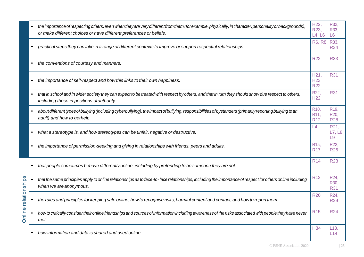|                      |           | the importance of respecting others, even when they are very different from them (for example, physically, in character, personality or backgrounds),<br>or make different choices or have different preferences or beliefs. | H22,<br>R23,<br>L4, L6                             | R32,<br>R33,<br>L <sub>6</sub>          |
|----------------------|-----------|------------------------------------------------------------------------------------------------------------------------------------------------------------------------------------------------------------------------------|----------------------------------------------------|-----------------------------------------|
|                      |           | practical steps they can take in a range of different contexts to improve or support respectful relationships.                                                                                                               | <b>R6, R8</b>                                      | R33,<br><b>R34</b>                      |
|                      |           | the conventions of courtesy and manners.                                                                                                                                                                                     | <b>R22</b>                                         | <b>R33</b>                              |
|                      |           | the importance of self-respect and how this links to their own happiness.                                                                                                                                                    | H21,<br><b>H23</b><br><b>R22</b>                   | <b>R31</b>                              |
|                      |           | that in school and in wider society they can expect to be treated with respect by others, and that in turn they should show due respect to others,<br>including those in positions of authority.                             | R22,<br><b>H22</b>                                 | <b>R31</b>                              |
|                      |           | about different types of bullying (including cyberbullying), the impact of bullying, responsibilities of bystanders (primarily reporting bullying to an<br>adult) and how to gethelp.                                        | R <sub>10</sub> ,<br>R <sub>11</sub><br><b>R12</b> | R <sub>19</sub> ,<br>R20.<br><b>R28</b> |
|                      |           | what a stereotype is, and how stereotypes can be unfair, negative or destructive.                                                                                                                                            | L4                                                 | R21,<br>L7, L8,<br>L <sub>9</sub>       |
|                      |           | the importance of permission-seeking and giving in relationships with friends, peers and adults.                                                                                                                             | R <sub>15</sub> ,<br><b>R17</b>                    | R22,<br><b>R26</b>                      |
|                      | $\bullet$ | that people sometimes behave differently online, including by pretending to be someone they are not.                                                                                                                         | <b>R14</b>                                         | <b>R23</b>                              |
|                      |           | that the same principles apply to online relationships as to face-to-face relationships, including the importance of respect for others online including<br>when we are anonymous.                                           | <b>R12</b>                                         | R24,<br>R30,<br><b>R31</b>              |
| Online relationships |           | the rules and principles for keeping safe online, how to recognise risks, harmful content and contact, and how to report them.                                                                                               | <b>R20</b>                                         | R24,<br><b>R29</b>                      |
|                      |           | how to critically consider their online friendships and sources of information including awareness of the risks associated with people they have never<br>met.                                                               | <b>R15</b>                                         | <b>R24</b>                              |
|                      |           | how information and data is shared and used online.                                                                                                                                                                          | <b>H34</b>                                         | L13<br>L14                              |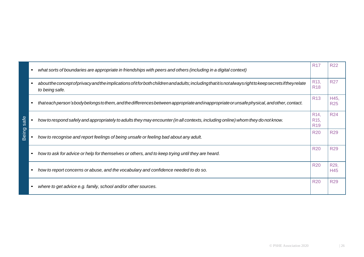|          | what sorts of boundaries are appropriate in friendships with peers and others (including in a digital context)                                                              | <b>R17</b>                                                | <b>R22</b>         |
|----------|-----------------------------------------------------------------------------------------------------------------------------------------------------------------------------|-----------------------------------------------------------|--------------------|
|          | aboutthe concept of privacy and the implications of it for both children and adults; including that it is not always right to keep secrets if they relate<br>to being safe. | R <sub>13</sub><br><b>R18</b>                             | <b>R27</b>         |
|          | thateachperson's body belongs to them, and the differences between appropriate and inappropriate or unsafe physical, and other, contact.                                    | R <sub>13</sub>                                           | H45,<br><b>R25</b> |
| ≌<br>sai | how to respond safely and appropriately to adults they may encounter (in all contexts, including online) whom they do not know.                                             | R <sub>14</sub> ,<br>R <sub>15</sub> ,<br>R <sub>19</sub> | <b>R24</b>         |
| Being    | how to recognise and report feelings of being unsafe or feeling bad about any adult.                                                                                        | <b>R20</b>                                                | <b>R29</b>         |
|          | how to ask for advice or help for themselves or others, and to keep trying until they are heard.                                                                            | <b>R20</b>                                                | <b>R29</b>         |
|          | how to report concerns or abuse, and the vocabulary and confidence needed to do so.                                                                                         | <b>R20</b>                                                | R29,<br>H45        |
|          | where to get advice e.g. family, school and/or other sources.                                                                                                               | <b>R20</b>                                                | <b>R29</b>         |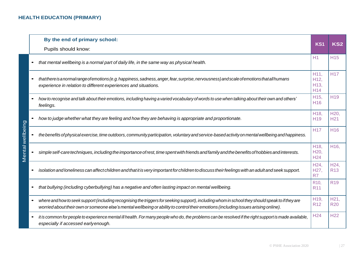|                 | By the end of primary school:<br>Pupils should know:                                                                                                                                                                                                                                    | KS <sub>1</sub>                                         | <b>KS2</b>                    |
|-----------------|-----------------------------------------------------------------------------------------------------------------------------------------------------------------------------------------------------------------------------------------------------------------------------------------|---------------------------------------------------------|-------------------------------|
|                 | that mental wellbeing is a normal part of daily life, in the same way as physical health.                                                                                                                                                                                               | H1                                                      | <b>H15</b>                    |
|                 | that there is a normal range of emotions (e.g. happiness, sadness, anger, fear, surprise, nervousness) and scale of emotions that all humans<br>experience in relation to different experiences and situations.                                                                         | H11,<br>H <sub>12</sub> ,<br>H13,<br>H14                | <b>H17</b>                    |
|                 | how to recognise and talk about their emotions, including having a varied vocabulary of words to use when talking about their own and others'<br>feelings.                                                                                                                              | H <sub>15</sub> ,<br><b>H16</b>                         | H <sub>19</sub>               |
| ental wellbeing | how to judge whether what they are feeling and how they are behaving is appropriate and proportionate.                                                                                                                                                                                  | H <sub>18</sub> ,<br>H <sub>19</sub>                    | H20<br>H <sub>21</sub>        |
|                 | the benefits of physical exercise, time outdoors, community participation, voluntary and service-based activity on mental wellbeing and happiness.                                                                                                                                      | <b>H17</b>                                              | H <sub>16</sub>               |
|                 | simple self-care techniques, including the importance of rest, time spent with friends and family and the benefits of hobbies and interests.                                                                                                                                            | H <sub>18</sub> ,<br>H <sub>20</sub><br>H <sub>24</sub> | H <sub>16</sub>               |
|                 | isolation and loneliness can affect children and that it is very important for children to discuss their feelings with an adult and seek support.                                                                                                                                       | H24.<br>H27,<br>R7                                      | H <sub>24</sub><br><b>R13</b> |
|                 | that bullying (including cyberbullying) has a negative and often lasting impact on mental wellbeing.                                                                                                                                                                                    | R <sub>10</sub><br><b>R11</b>                           | R <sub>19</sub>               |
|                 | where and how to seek support (including recognising the triggers for seeking support), including whom in school they should speak to if they are<br>worried about their own or someone else's mental wellbeing or ability to control their emotions (including issues arising online). | H <sub>19</sub> ,<br><b>R12</b>                         | H21,<br><b>R20</b>            |
|                 | it is common for people to experience mental ill health. For many people who do, the problems can be resolved if the right support is made available,<br>especially if accessed early enough.                                                                                           | H <sub>24</sub>                                         | H <sub>22</sub>               |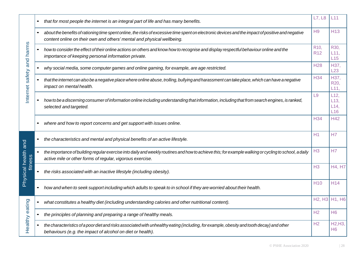|                     | $\bullet$ | that for most people the internet is an integral part of life and has many benefits.                                                                                                                                         | L7, L8                        | L11                      |
|---------------------|-----------|------------------------------------------------------------------------------------------------------------------------------------------------------------------------------------------------------------------------------|-------------------------------|--------------------------|
|                     |           | about the benefits of rationing time spent online, the risks of excessive time spent on electronic devices and the impact of positive and negative<br>content online on their own and others' mental and physical wellbeing. | H <sub>9</sub>                | H <sub>13</sub>          |
| safety and harms    |           | how to consider the effect of their online actions on others and know how to recognise and display respectful behaviour online and the<br>importance of keeping personal information private.                                | R <sub>10</sub><br><b>R12</b> | R30.<br>L11,<br>L15      |
|                     |           | why social media, some computer games and online gaming, for example, are age restricted.                                                                                                                                    | <b>H28</b>                    | H37,<br>L23              |
|                     |           | that the internet can also be a negative place where online abuse, trolling, bullying and harassment can take place, which can have a negative<br>impact on mental health.                                                   | <b>H34</b>                    | H37,<br>R20,<br>L11,     |
| Internet            |           | how to be a discerning consumer of information online including understanding that information, including that from search engines, is ranked,<br>selected and targeted.                                                     | L <sub>9</sub>                | L12<br>L13<br>L14<br>L16 |
|                     |           | where and how to report concerns and get support with issues online.                                                                                                                                                         | <b>H34</b>                    | <b>H42</b>               |
|                     |           | the characteristics and mental and physical benefits of an active lifestyle.                                                                                                                                                 | H1                            | H7                       |
| fitness             |           | the importance of building regular exercise into daily and weekly routines and how to achieve this; for example walking or cycling to school, a daily<br>active mile or other forms of regular, vigorous exercise.           | H3                            | H7                       |
| Physical health and |           | the risks associated with an inactive lifestyle (including obesity).                                                                                                                                                         | H <sub>3</sub>                | H4, H7                   |
|                     |           | how and when to seek support including which adults to speak to in school if they are worried about their health.                                                                                                            | H <sub>10</sub>               | H <sub>14</sub>          |
|                     | $\bullet$ | what constitutes a healthy diet (including understanding calories and other nutritional content).                                                                                                                            | <b>H2, H3</b>                 | <b>H1, H6</b>            |
|                     |           | the principles of planning and preparing a range of healthy meals.                                                                                                                                                           | H2                            | H <sub>6</sub>           |
| Healthy eating      |           | the characteristics of a poor diet and risks associated with unhealthy eating (including, for example, obesity and tooth decay) and other<br>behaviours (e.g. the impact of alcohol on diet or health).                      | H <sub>2</sub>                | H2, H3<br>H <sub>6</sub> |